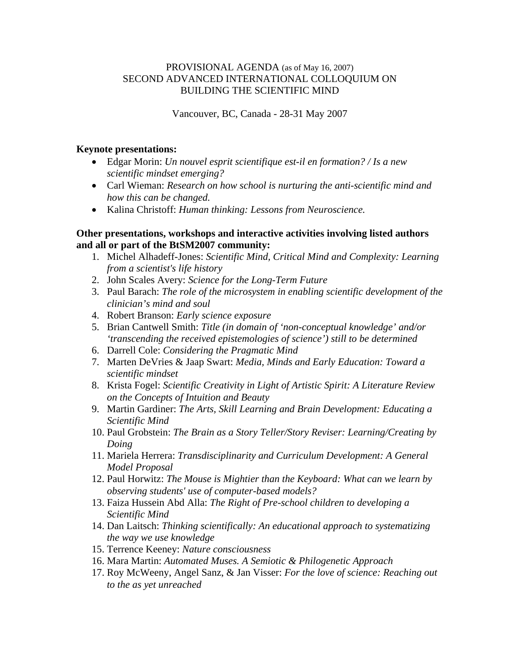## PROVISIONAL AGENDA (as of May 16, 2007) SECOND ADVANCED INTERNATIONAL COLLOQUIUM ON BUILDING THE SCIENTIFIC MIND

Vancouver, BC, Canada - 28-31 May 2007

## **Keynote presentations:**

- Edgar Morin: *Un nouvel esprit scientifique est-il en formation? / Is a new scientific mindset emerging?*
- Carl Wieman: *Research on how school is nurturing the anti-scientific mind and how this can be changed.*
- Kalina Christoff: *Human thinking: Lessons from Neuroscience.*

## **Other presentations, workshops and interactive activities involving listed authors and all or part of the BtSM2007 community:**

- 1. Michel Alhadeff-Jones: *Scientific Mind, Critical Mind and Complexity: Learning from a scientist's life history*
- 2. John Scales Avery: *Science for the Long-Term Future*
- 3. Paul Barach: *The role of the microsystem in enabling scientific development of the clinician's mind and soul*
- 4. Robert Branson: *Early science exposure*
- 5. Brian Cantwell Smith: *Title (in domain of 'non-conceptual knowledge' and/or 'transcending the received epistemologies of science') still to be determined*
- 6. Darrell Cole: *Considering the Pragmatic Mind*
- 7. Marten DeVries & Jaap Swart: *Media, Minds and Early Education: Toward a scientific mindset*
- 8. Krista Fogel: *Scientific Creativity in Light of Artistic Spirit: A Literature Review on the Concepts of Intuition and Beauty*
- 9. Martin Gardiner: *The Arts, Skill Learning and Brain Development: Educating a Scientific Mind*
- 10. Paul Grobstein: *The Brain as a Story Teller/Story Reviser: Learning/Creating by Doing*
- 11. Mariela Herrera: *Transdisciplinarity and Curriculum Development: A General Model Proposal*
- 12. Paul Horwitz: *The Mouse is Mightier than the Keyboard: What can we learn by observing students' use of computer-based models?*
- 13. Faiza Hussein Abd Alla: *The Right of Pre-school children to developing a Scientific Mind*
- 14. Dan Laitsch: *Thinking scientifically: An educational approach to systematizing the way we use knowledge*
- 15. Terrence Keeney: *Nature consciousness*
- 16. Mara Martin: *Automated Muses. A Semiotic & Philogenetic Approach*
- 17. Roy McWeeny, Angel Sanz, & Jan Visser: *For the love of science: Reaching out to the as yet unreached*